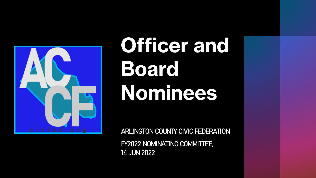

# **Officer and Board Nominees**

ARLINGTON COUNTY CIVIC FEDERATION

FY2022 NOMINATING COMMITTEE, 14 JUN 2022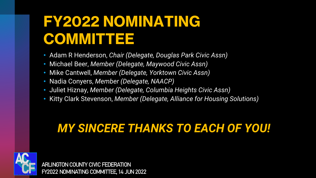#### **FY2022 NOMINATING COMMITTEE**

- Adam R Henderson, *Chair (Delegate, Douglas Park Civic Assn)*
- Michael Beer, *Member (Delegate, Maywood Civic Assn)*
- Mike Cantwell, *Member (Delegate, Yorktown Civic Assn)*
- Nadia Conyers, *Member (Delegate, NAACP)*
- Juliet Hiznay, *Member (Delegate, Columbia Heights Civic Assn)*
- Kitty Clark Stevenson, *Member (Delegate, Alliance for Housing Solutions)*

#### *MY SINCERE THANKS TO EACH OF YOU!*

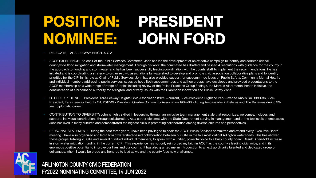#### **POSITION: PRESIDENT NOMINEE: JOHN FORD**

#### • DELEGATE, TARA-LEEWAY HEIGHTS C A

- ACCF EXPERIENCE: As chair of the Public Services Committee, John has led the development of an effective campaign to identify and address critical countywide flood mitigation and stormwater management. Through his work, the committee has drafted and passed 4 resolutions with guidance for the county in the approach to flooding and stormwater and he has been successfully leading coordination with the county staff to implement the recommendations. He has initiated and is coordinating a strategy to organize civic associations by watershed to develop and promote civic association collaborative plans and to identify priorities for the CIP. In his role as Chair of Public Services, John has also provided support for subcommittee leads on Public Safety, Community Mental Health, and individual members addressing public services issues ad hoc . Both subcommittees and ad hoc groups have developed and provided presentations to the ACCF membership on a wide range of range of topics including review of the Police Practices Group findings, the Marcus Alert mental health initiative, the consideration of a broadband authority for Arlington, and privacy issues with the Clarendon Innovation and Public Safety Zone
- OTHER EXPERIENCE: President, Tara-Leeway Heights Civic Association (2019 current, Vice-President, Highland Park-Overlee Knolls CA 1983-86; Vice-President, Tara-Leeway Heights CA, 2017-19 • President, Overlee Community Association 1984-86 • Acting Ambassador in Belarus and The Bahamas during 33 year diplomatic career.
- CONTRIBUTION TO DIVERSITY: John is highly skilled in leadership through an inclusive team management style that recognizes, welcomes, includes, and supports individual contributions through collaboration. As a career diplomat with the State Department serving in management and at the top levels of embassies, John has lived in many cultures and demonstrated the highest skills in promoting collaboration among diverse cultures and perspectives.
- PERSONAL STATEMENT: During the past three years, I have been privileged to chair the ACCF Public Services committee and attend every Executive Board meeting. I have also organized and led a broad watershed-based collaboration between our CAs in the five most critical Arlington watersheds. This has allowed these groups, totaling 25 CAs and several hundred individual members, to speak with a unified, powerful voice to a busy county board. Result: A ten-fold increase in stormwater mitigation funding in the current CIP. This experience has not only reinforced my faith in ACCF as the county's leading civic voice, and in its enormous positive potential to improve our lives and our county. It has also granted me an introduction to an extraordinarily talented and dedicated group of colleagues, whom I would be proud and honored to lead as we and the county face new challenges.

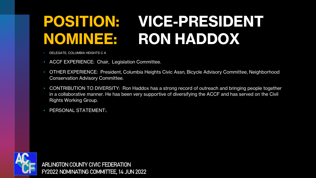## **POSITION: VICE-PRESIDENT NOMINEE: RON HADDOX**

- DELEGATE, COLUMBIA HEIGHTS C A
- ACCF EXPERIENCE: Chair, Legislation Committee.
- OTHER EXPERIENCE: President, Columbia Heights Civic Assn, Bicycle Advisory Committee, Neighborhood Conservation Advisory Committee.
- CONTRIBUTION TO DIVERSITY: Ron Haddox has a strong record of outreach and bringing people together in a collaborative manner. He has been very supportive of diversifying the ACCF and has served on the Civil Rights Working Group.
- PERSONAL STATEMENT:.

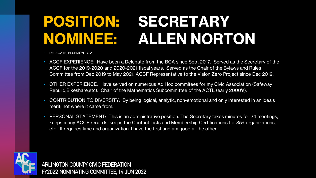#### **POSITION: SECRETARY NOMINEE: ALLEN NORTON**

- DELEGATE, BLUEMONT C A
- ACCF EXPERIENCE: Have been a Delegate from the BCA since Sept 2017. Served as the Secretary of the ACCF for the 2019-2020 and 2020-2021 fiscal years. Served as the Chair of the Bylaws and Rules Committee from Dec 2019 to May 2021. ACCF Representative to the Vision Zero Project since Dec 2019.
- OTHER EXPERIENCE: Have served on numerous Ad Hoc commitees for my Civic Association (Safeway Rebuild,Bikeshare,etc). Chair of the Mathematics Subcommittee of the ACTL (early 2000's).
- CONTRIBUTION TO DIVERSITY: By being logical, analytic, non-emotional and only interested in an idea's merit; not where it came from.
- PERSONAL STATEMENT: This is an administrative position. The Secretary takes minutes for 24 meetings, keeps many ACCF records, keeps the Contact Lists and Membership Certifications for 85+ organizations, etc. It requires time and organization. I have the first and am good at the other.

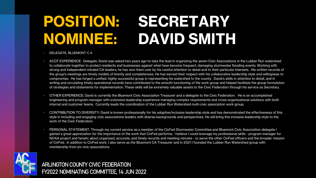#### **POSITION: SECRETARY NOMINEE: DAVID SMITH**

- DELEGATE, BLUEMONT C A
- ACCF EXPERIENCE: Delegate. David was asked two years ago to take the lead in organizing the seven Civic Associations in the Lubber Run watershed to collaborate together to protect residents and businesses against what have become frequent, damaging stormwater flooding events. Working with strong and independent-minded CA leaders, he has won them over by his careful attention to detail and to their particular interests. His written records of the group's meetings are timely models of brevity and completeness. He has earned their respect with his collaborative leadership style and willingness to compromise. He has forged a unified, highly successful group in representing his watershed to the county. David's skills in attention to detail, and in writing and circulating timely operational records have contributed to the smooth functioning of the work group and helped facilitate the group formulation of strategies and statements for implementation. These skills will be extremely valuable assets to the Civic Federation through his service as Secretary.
- OTHER EXPERIENCE: David is currently the Bluemont Civic Association Treasurer and a delegate to the Civic Federation. He is an accomplished engineering and program manager with extensive leadership experience managing complex requirements and cross-organizational solutions with both internal and customer teams. Currently leads the coordination of the Lubber Run Watershed multi-civic association work group.
- CONTRIBUTION TO DIVERSITY: David is known professionally for his adaptive/inclusive leadership style and has demonstrated the effectiveness of this style in including and engaging civic associations leaders with diverse backgrounds and perspectives. He will bring this inclusive leadership style to the work of the Civic Federation.
- PERSONAL STATEMENT: Through my current service as a member of the CivFed Stormwater Committee and Bluemont Civic Association delegate I gained a great appreciation for the importance of the work that CivFed performs. I believe I could leverage my professional skills - program manager for NOAA project and fanatic about organized, accurate, and timely records and meeting minutes - to serve the other CivFed officers and the broader mission of CivFed. In addition to CivFed work, I also serve as the Bluemont CA Treasurer and in 2021 I founded the Lubber Run Watershed group with membership from six civic associations.

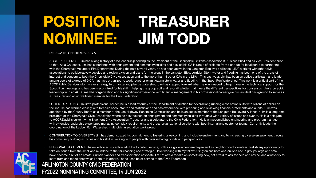#### **POSITION: TREASURER NOMINEE: JIM TODD**

#### • DELEGATE, CHERRYDALE C A

- ACCF EXPERIENCE: Jim has a long history of civic leadership serving as the President of the Cherrydale Citizens Association (CA) since 2014 and as Vice President prior to that. As a CA leader, Jim has experience with engagement and community building and has led his CA in range of projects from clean-up for local parks to partnering with the Cherrydale Volunteer Fire Department. During the past several years, he has been active in the Langston Boulevard Alliance (LBA) working with other civic associations to collaboratively develop and review a vision and plans for the areas in the Langston Blvd. corridor. Stormwater and flooding has been one of the areas of interest and concern to both the Cherrydale Civic Association and to the more than 14 other CAs in the LBA. This past year, Jim has been an active participant and leader among peers of a group of 9 CA that have organized to work together on mitigating stormwater and flooding in the Spout Run Watershed. This work is a critical part of the ACCF Public Services stormwater strategy to organize and plan by watershed. Jim has stepped forward when he was needed to help manage the technical support for the Spout Run meetings and has been recognized for his skill in helping the group edit and re-draft a letter that meets the different perspectives for consensus. Jim's long civic leadership with an ACCF member organization and his significant experience with financial management in his professional career give him an ideal background to serve as a Treasurer and an active board member for the Civic Federation.
- OTHER EXPERIENCE: In Jim's professional career, he is a lead attorney at the Department of Justice for several long running class action suits with billions of dollars on the line. He has worked closely with forensic accountants and statisticians and has experience with preparing and reviewing financial statements and audits. • Jim was appointed by the County Board as a member of the Lee Highway Renaming Commission and he is an active member of the Langston Boulevard Alliance. • Jim is a long-time president of the Cherrydale Civic Association where he has focused on engagement and community building through a wide variety of issues and events. He is a delegate to ACCF.David is currently the Bluemont Civic Association Treasurer and a delegate to the Civic Federation. He is an accomplished engineering and program manager with extensive leadership experience managing complex requirements and cross-organizational solutions with both internal and customer teams. Currently leads the coordination of the Lubber Run Watershed multi-civic association work group.
- CONTRIBUTION TO DIVERSITY: Jim has demonstrated his commitment to fostering a welcoming and inclusive environment and to increasing diverse engagement through his community building activities and his skill in working with people with diverse backgrounds and perspectives.
- PERSONAL STATEMENT: I have dedicated my entire adult life to public service, both as a government employee and as neighborhood volunteer. I relish any opportunity to take on issues from the small and mundane to the far-reaching and strategic. I love working with my fellow Arlingtonians both one-on-one and in groups large and small. I have become a bit of an amateur urban planner and transportation advocate. I'm not afraid to take on something new, not afraid to ask for help and advice, and always try to learn from and model that which I admire in others. I hope I can be of service to the Civic Federation.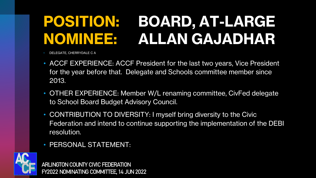## **POSITION: BOARD, AT-LARGE NOMINEE: ALLAN GAJADHAR**

• DELEGATE, CHERRYDALE C A

- ACCF EXPERIENCE: ACCF President for the last two years, Vice President for the year before that. Delegate and Schools committee member since 2013.
- OTHER EXPERIENCE: Member W/L renaming committee, CivFed delegate to School Board Budget Advisory Council.
- CONTRIBUTION TO DIVERSITY: I myself bring diversity to the Civic Federation and intend to continue supporting the implementation of the DEBI resolution.
- PERSONAL STATEMENT:

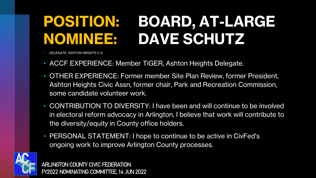## **POSITION: BOARD, AT-LARGE NOMINEE: DAVE SCHUTZ**

• DELEGATE, ASHTON HEIGHTS C A

- ACCF EXPERIENCE: Member TiGER, Ashton Heights Delegate.
- OTHER EXPERIENCE: Former member Site Plan Review, former President, Ashton Heights Civic Assn, former chair, Park and Recreation Commission, some candidate volunteer work.
- CONTRIBUTION TO DIVERSITY: I have been and will continue to be involved in electoral reform advocacy in Arlington, I believe that work will contribute to the diversity/equity in County office holders.
- PERSONAL STATEMENT: I hope to continue to be active in CivFed's ongoing work to improve Arlington County processes.

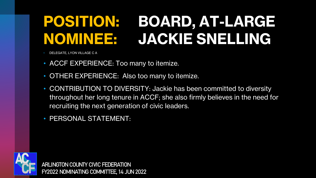## **POSITION: BOARD, AT-LARGE NOMINEE: JACKIE SNELLING**

• DELEGATE, LYON VILLAGE C A

- ACCF EXPERIENCE: Too many to itemize.
- OTHER EXPERIENCE: Also too many to itemize.
- CONTRIBUTION TO DIVERSITY: Jackie has been committed to diversity throughout her long tenure in ACCF; she also firmly believes in the need for recruiting the next generation of civic leaders.
- PERSONAL STATEMENT:

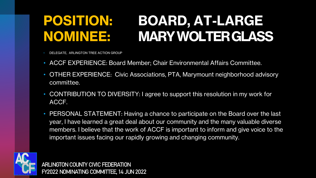#### **POSITION: BOARD, AT-LARGE NOMINEE: MARY WOLTER GLASS**

- DELEGATE, ARLINGTON TREE ACTION GROUP
- ACCF EXPERIENCE: Board Member; Chair Environmental Affairs Committee.
- OTHER EXPERIENCE: Civic Associations, PTA, Marymount neighborhood advisory committee.
- CONTRIBUTION TO DIVERSITY: I agree to support this resolution in my work for ACCF.
- PERSONAL STATEMENT: Having a chance to participate on the Board over the last year, I have learned a great deal about our community and the many valuable diverse members. I believe that the work of ACCF is important to inform and give voice to the important issues facing our rapidly growing and changing community.

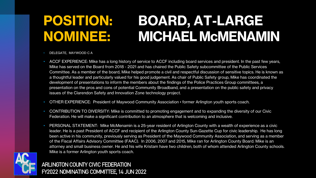#### **POSITION: BOARD, AT-LARGE NOMINEE: MICHAEL McMENAMIN**

- DELEGATE, MAYWOOD C A
- ACCF EXPERIENCE: Mike has a long history of service to ACCF including board services and president. In the past few years, Mike has served on the Board from 2018 - 2021 and has chaired the Public Safety subcommittee of the Public Services Committee. As a member of the board, Mike helped promote a civil and respectful discussion of sensitive topics. He is known as a thoughtful leader and particularly valued for his good judgement. As chair of Public Safety group, Mike has coordinated the development of presentations to inform the members about the findings of the Police Practices Group committees, a presentation on the pros and cons of potential Community Broadband, and a presentation on the public safety and privacy issues of the Clarendon Safety and Innovation Zone technology project.
- OTHER EXPERIENCE: President of Maywood Community Association former Arlington youth sports coach.
- CONTRIBUTION TO DIVERSITY: Mike is committed to promoting engagement and to expanding the diversity of our Civic Federation. He will make a significant contribution to an atmosphere that is welcoming and inclusive.
- PERSONAL STATEMENT: Mike McMenamin is a 25-year resident of Arlington County with a wealth of experience as a civic leader. He is a past President of ACCF and recipient of the Arlington County Sun-Gazette Cup for civic leadership. He has long been active in his community, previously serving as President of the Maywood Community Association, and serving as a member of the Fiscal Affairs Advisory Committee (FAAC). In 2006, 2007 and 2015, Mike ran for Arlington County Board. Mike is an attorney and small business owner. He and his wife Kristam have two children, both of whom attended Arlington County schools. Mike is a former Arlington youth sports coach.

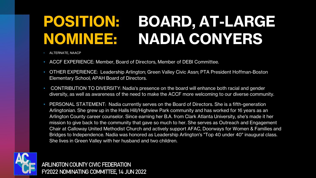#### **POSITION: BOARD, AT-LARGE NOMINEE: NADIA CONYERS**

- ALTERNATE, NAACP
- ACCF EXPERIENCE: Member, Board of Directors, Member of DEBI Committee.
- OTHER EXPERIENCE: Leadership Arlington; Green Valley Civic Assn; PTA President Hoffman-Boston Elementary School; APAH Board of Directors.
- CONTRIBUTION TO DIVERSITY: Nadia's presence on the board will enhance both racial and gender diversity, as well as awareness of the need to make the ACCF more welcoming to our diverse community.
- PERSONAL STATEMENT: Nadia currently serves on the Board of Directors. She is a fifth-generation Arlingtonian. She grew up in the Halls Hill/Highview Park community and has worked for 16 years as an Arlington County career counselor. Since earning her B.A. from Clark Atlanta University, she's made it her mission to give back to the community that gave so much to her. She serves as Outreach and Engagement Chair at Calloway United Methodist Church and actively support AFAC, Doorways for Women & Families and Bridges to Independence. Nadia was honored as Leadership Arlington's "Top 40 under 40" inaugural class. She lives in Green Valley with her husband and two children.

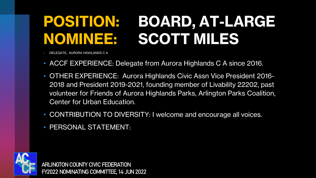## **POSITION: BOARD, AT-LARGE NOMINEE: SCOTT MILES**

• DELEGATE, AURORA HIGHLANDS C A

- ACCF EXPERIENCE: Delegate from Aurora Highlands C A since 2016.
- OTHER EXPERIENCE: Aurora Highlands Civic Assn Vice President 2016- 2018 and President 2019-2021, founding member of Livability 22202, past volunteer for Friends of Aurora Highlands Parks, Arlington Parks Coalition, Center for Urban Education.
- CONTRIBUTION TO DIVERSITY: I welcome and encourage all voices.
- PERSONAL STATEMENT:

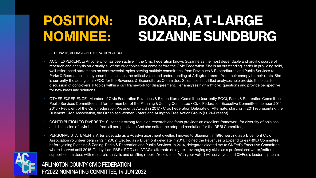#### **POSITION: BOARD, AT-LARGE NOMINEE: SUZANNE SUNDBURG**

#### • ALTERNATE, ARLINGTON TREE ACTION GROUP

- ACCF EXPERIENCE: Anyone who has been active in the Civic Federation knows Suzanne as the most dependable and prolific source of research and analysis on virtually all of the civic topics that come before the Civic Federation. She is an outstanding leader in providing solid, well-referenced statements on controversial topics serving multiple committees, from Revenues & Expenditures and Public Services to Parks & Recreation, on any issue that includes the critical value and understanding of Arlington trees—from their canopy to their roots. She is currently the acting chair/POC for the Revenues & Expenditures Committee. Suzanne's fact-filled analyses help provide the basis for discussion of controversial topics within a civil framework for disagreement. Her analyses highlight civic questions and provide perspective for new ideas and solutions.
- OTHER EXPERIENCE: Member of Civic Federation Revenues & Expenditures Committee (currently POC), Parks & Recreation Committee, Public Services Committee and former member of the Planning & Zoning Committee • Civic Federation Executive Committee member 2014– 2018 • Recipient of the Civic Federation President's Award in 2017 • Civic Federation Delegate or Alternate, starting in 2011 representing the Bluemont Civic Association, the Organized Women Voters and Arlington Tree Action Group (2021–Present).
- CONTRIBUTION TO DIVERSITY: Suzanne's strong focus on research and facts provides an excellent framework for diversity of opinions and discussion of civic issues from all perspectives. (And she edited the adopted resolution for the DEBI Committee).
- PERSONAL STATEMENT: After a decade as a Rosslyn apartment dweller, I moved to Bluemont in 1996, serving as a Bluemont Civic Association volunteer beginning in 2002. Elected as a Bluemont delegate in 2011, I joined the Revenues & Expenditures (R&E) Committee, before joining Planning & Zoning, Parks & Recreation and Public Services. In 2014, delegates elected me to CivFed's Executive Committee, where I served until 2018. Today, I am R&E's POC and ATAG's alternate delegate. Leveraging my skills as a professional writer/editor I support committees with research, analysis and drafting reports/resolutions. With your vote, I will serve you and CivFed's leadership team.

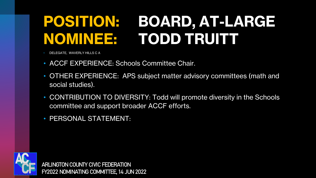## **POSITION: BOARD, AT-LARGE NOMINEE: TODD TRUITT**

• DELEGATE, WAVERLY HILLS C A

- ACCF EXPERIENCE: Schools Committee Chair.
- OTHER EXPERIENCE: APS subject matter advisory committees (math and social studies).
- CONTRIBUTION TO DIVERSITY: Todd will promote diversity in the Schools committee and support broader ACCF efforts.
- PERSONAL STATEMENT:

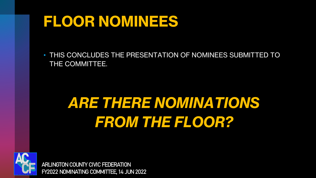#### **FLOOR NOMINEES**

• THIS CONCLUDES THE PRESENTATION OF NOMINEES SUBMITTED TO THE COMMITTEE.

## *ARE THERE NOMINATIONS FROM THE FLOOR?*

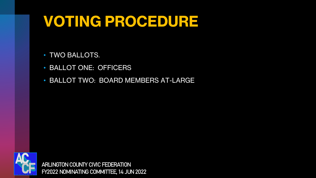#### **VOTING PROCEDURE**

- TWO BALLOTS.
- BALLOT ONE: OFFICERS
- BALLOT TWO: BOARD MEMBERS AT-LARGE

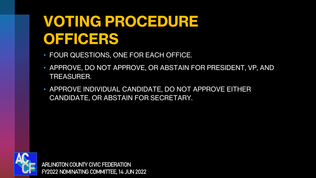#### **VOTING PROCEDURE OFFICERS**

- FOUR QUESTIONS, ONE FOR EACH OFFICE.
- APPROVE, DO NOT APPROVE, OR ABSTAIN FOR PRESIDENT, VP, AND TREASURER.
- APPROVE INDIVIDUAL CANDIDATE, DO NOT APPROVE EITHER CANDIDATE, OR ABSTAIN FOR SECRETARY.

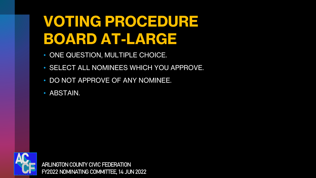#### **VOTING PROCEDURE BOARD AT-LARGE**

- ONE QUESTION, MULTIPLE CHOICE.
- SELECT ALL NOMINEES WHICH YOU APPROVE.
- DO NOT APPROVE OF ANY NOMINEE.
- ABSTAIN.

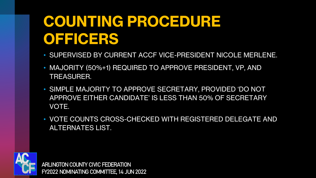#### **COUNTING PROCEDURE OFFICERS**

- SUPERVISED BY CURRENT ACCF VICE-PRESIDENT NICOLE MERLENE.
- MAJORITY (50%+1) REQUIRED TO APPROVE PRESIDENT, VP, AND TREASURER.
- SIMPLE MAJORITY TO APPROVE SECRETARY, PROVIDED 'DO NOT APPROVE EITHER CANDIDATE' IS LESS THAN 50% OF SECRETARY VOTE.
- VOTE COUNTS CROSS-CHECKED WITH REGISTERED DELEGATE AND ALTERNATES LIST.

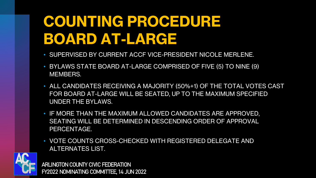#### **COUNTING PROCEDURE BOARD AT-LARGE**

- SUPERVISED BY CURRENT ACCF VICE-PRESIDENT NICOLE MERLENE.
- BYLAWS STATE BOARD AT-LARGE COMPRISED OF FIVE (5) TO NINE (9) MEMBERS.
- ALL CANDIDATES RECEIVING A MAJORITY (50%+1) OF THE TOTAL VOTES CAST FOR BOARD AT-LARGE WILL BE SEATED, UP TO THE MAXIMUM SPECIFIED UNDER THE BYLAWS.
- IF MORE THAN THE MAXIMUM ALLOWED CANDIDATES ARE APPROVED, SEATING WILL BE DETERMINED IN DESCENDING ORDER OF APPROVAL PERCENTAGE.
- VOTE COUNTS CROSS-CHECKED WITH REGISTERED DELEGATE AND ALTERNATES LIST.